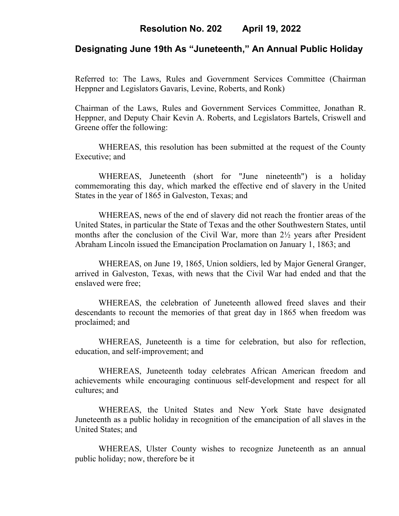### **Resolution No. 202 April 19, 2022**

### **Designating June 19th As "Juneteenth," An Annual Public Holiday**

Referred to: The Laws, Rules and Government Services Committee (Chairman Heppner and Legislators Gavaris, Levine, Roberts, and Ronk)

Chairman of the Laws, Rules and Government Services Committee, Jonathan R. Heppner, and Deputy Chair Kevin A. Roberts, and Legislators Bartels, Criswell and Greene offer the following:

WHEREAS, this resolution has been submitted at the request of the County Executive; and

WHEREAS, Juneteenth (short for "June nineteenth") is a holiday commemorating this day, which marked the effective end of slavery in the United States in the year of 1865 in Galveston, Texas; and

WHEREAS, news of the end of slavery did not reach the frontier areas of the United States, in particular the State of Texas and the other Southwestern States, until months after the conclusion of the Civil War, more than 2½ years after President Abraham Lincoln issued the Emancipation Proclamation on January 1, 1863; and

WHEREAS, on June 19, 1865, Union soldiers, led by Major General Granger, arrived in Galveston, Texas, with news that the Civil War had ended and that the enslaved were free;

WHEREAS, the celebration of Juneteenth allowed freed slaves and their descendants to recount the memories of that great day in 1865 when freedom was proclaimed; and

WHEREAS, Juneteenth is a time for celebration, but also for reflection, education, and self-improvement; and

WHEREAS, Juneteenth today celebrates African American freedom and achievements while encouraging continuous self-development and respect for all cultures; and

WHEREAS, the United States and New York State have designated Juneteenth as a public holiday in recognition of the emancipation of all slaves in the United States; and

WHEREAS, Ulster County wishes to recognize Juneteenth as an annual public holiday; now, therefore be it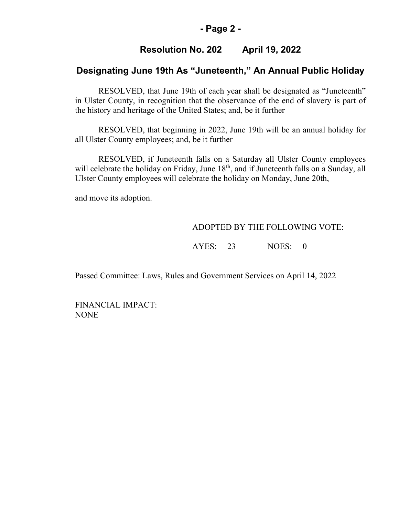#### **- Page 2 -**

## **Resolution No. 202 April 19, 2022**

## **Designating June 19th As "Juneteenth," An Annual Public Holiday**

RESOLVED, that June 19th of each year shall be designated as "Juneteenth" in Ulster County, in recognition that the observance of the end of slavery is part of the history and heritage of the United States; and, be it further

RESOLVED, that beginning in 2022, June 19th will be an annual holiday for all Ulster County employees; and, be it further

RESOLVED, if Juneteenth falls on a Saturday all Ulster County employees will celebrate the holiday on Friday, June 18<sup>th</sup>, and if Juneteenth falls on a Sunday, all Ulster County employees will celebrate the holiday on Monday, June 20th,

and move its adoption.

#### ADOPTED BY THE FOLLOWING VOTE:

AYES: 23 NOES: 0

Passed Committee: Laws, Rules and Government Services on April 14, 2022

FINANCIAL IMPACT: NONE